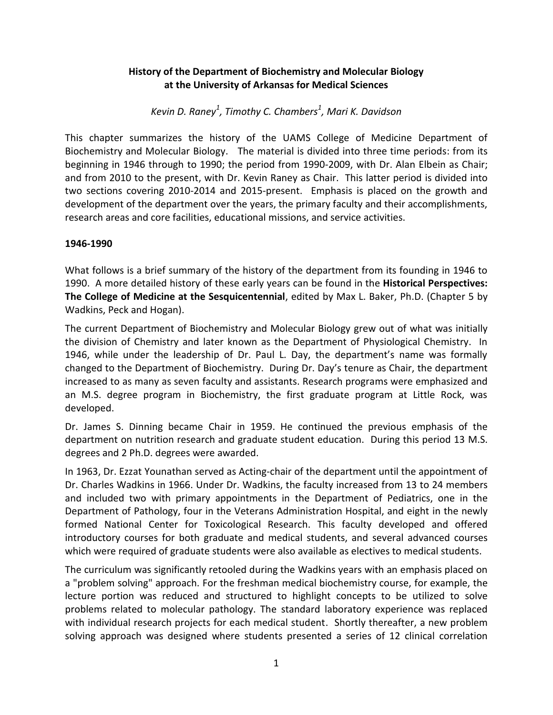# **History of the Department of Biochemistry and Molecular Biology at the University of Arkansas for Medical Sciences**

*Kevin D. Raney<sup>1</sup> , Timothy C. Chambers<sup>1</sup> , Mari K. Davidson*

This chapter summarizes the history of the UAMS College of Medicine Department of Biochemistry and Molecular Biology. The material is divided into three time periods: from its beginning in 1946 through to 1990; the period from 1990-2009, with Dr. Alan Elbein as Chair; and from 2010 to the present, with Dr. Kevin Raney as Chair. This latter period is divided into two sections covering 2010-2014 and 2015-present. Emphasis is placed on the growth and development of the department over the years, the primary faculty and their accomplishments, research areas and core facilities, educational missions, and service activities.

# **1946-1990**

What follows is a brief summary of the history of the department from its founding in 1946 to 1990. A more detailed history of these early years can be found in the **Historical Perspectives: The College of Medicine at the Sesquicentennial**, edited by Max L. Baker, Ph.D. (Chapter 5 by Wadkins, Peck and Hogan).

The current Department of Biochemistry and Molecular Biology grew out of what was initially the division of Chemistry and later known as the Department of Physiological Chemistry. In 1946, while under the leadership of Dr. Paul L. Day, the department's name was formally changed to the Department of Biochemistry. During Dr. Day's tenure as Chair, the department increased to as many as seven faculty and assistants. Research programs were emphasized and an M.S. degree program in Biochemistry, the first graduate program at Little Rock, was developed.

Dr. James S. Dinning became Chair in 1959. He continued the previous emphasis of the department on nutrition research and graduate student education. During this period 13 M.S. degrees and 2 Ph.D. degrees were awarded.

In 1963, Dr. Ezzat Younathan served as Acting-chair of the department until the appointment of Dr. Charles Wadkins in 1966. Under Dr. Wadkins, the faculty increased from 13 to 24 members and included two with primary appointments in the Department of Pediatrics, one in the Department of Pathology, four in the Veterans Administration Hospital, and eight in the newly formed National Center for Toxicological Research. This faculty developed and offered introductory courses for both graduate and medical students, and several advanced courses which were required of graduate students were also available as electives to medical students.

The curriculum was significantly retooled during the Wadkins years with an emphasis placed on a "problem solving" approach. For the freshman medical biochemistry course, for example, the lecture portion was reduced and structured to highlight concepts to be utilized to solve problems related to molecular pathology. The standard laboratory experience was replaced with individual research projects for each medical student. Shortly thereafter, a new problem solving approach was designed where students presented a series of 12 clinical correlation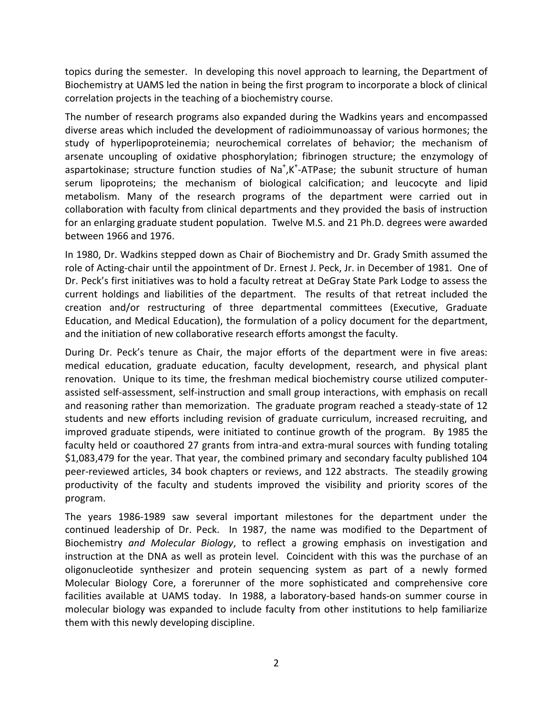topics during the semester. In developing this novel approach to learning, the Department of Biochemistry at UAMS led the nation in being the first program to incorporate a block of clinical correlation projects in the teaching of a biochemistry course.

The number of research programs also expanded during the Wadkins years and encompassed diverse areas which included the development of radioimmunoassay of various hormones; the study of hyperlipoproteinemia; neurochemical correlates of behavior; the mechanism of arsenate uncoupling of oxidative phosphorylation; fibrinogen structure; the enzymology of aspartokinase; structure function studies of Na<sup>+</sup>,K<sup>+</sup>-ATPase; the subunit structure of human serum lipoproteins; the mechanism of biological calcification; and leucocyte and lipid metabolism. Many of the research programs of the department were carried out in collaboration with faculty from clinical departments and they provided the basis of instruction for an enlarging graduate student population. Twelve M.S. and 21 Ph.D. degrees were awarded between 1966 and 1976.

In 1980, Dr. Wadkins stepped down as Chair of Biochemistry and Dr. Grady Smith assumed the role of Acting-chair until the appointment of Dr. Ernest J. Peck, Jr. in December of 1981. One of Dr. Peck's first initiatives was to hold a faculty retreat at DeGray State Park Lodge to assess the current holdings and liabilities of the department. The results of that retreat included the creation and/or restructuring of three departmental committees (Executive, Graduate Education, and Medical Education), the formulation of a policy document for the department, and the initiation of new collaborative research efforts amongst the faculty.

During Dr. Peck's tenure as Chair, the major efforts of the department were in five areas: medical education, graduate education, faculty development, research, and physical plant renovation. Unique to its time, the freshman medical biochemistry course utilized computerassisted self-assessment, self-instruction and small group interactions, with emphasis on recall and reasoning rather than memorization. The graduate program reached a steady-state of 12 students and new efforts including revision of graduate curriculum, increased recruiting, and improved graduate stipends, were initiated to continue growth of the program. By 1985 the faculty held or coauthored 27 grants from intra-and extra-mural sources with funding totaling \$1,083,479 for the year. That year, the combined primary and secondary faculty published 104 peer-reviewed articles, 34 book chapters or reviews, and 122 abstracts. The steadily growing productivity of the faculty and students improved the visibility and priority scores of the program.

The years 1986-1989 saw several important milestones for the department under the continued leadership of Dr. Peck. In 1987, the name was modified to the Department of Biochemistry *and Molecular Biology*, to reflect a growing emphasis on investigation and instruction at the DNA as well as protein level. Coincident with this was the purchase of an oligonucleotide synthesizer and protein sequencing system as part of a newly formed Molecular Biology Core, a forerunner of the more sophisticated and comprehensive core facilities available at UAMS today. In 1988, a laboratory-based hands-on summer course in molecular biology was expanded to include faculty from other institutions to help familiarize them with this newly developing discipline.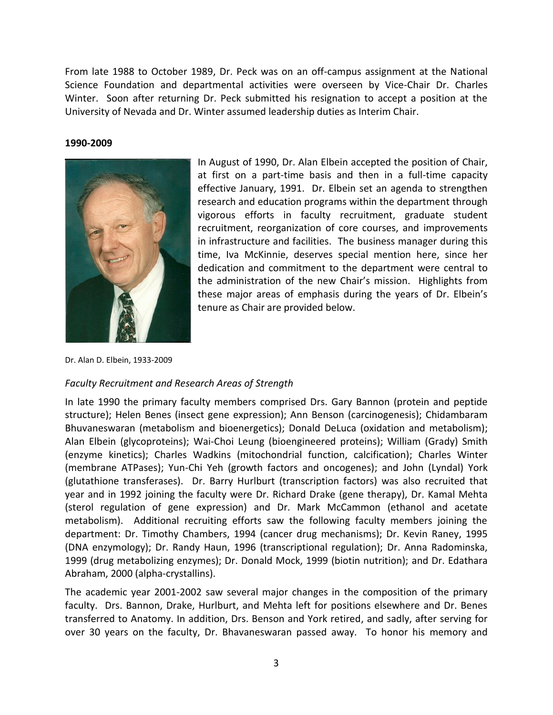From late 1988 to October 1989, Dr. Peck was on an off-campus assignment at the National Science Foundation and departmental activities were overseen by Vice-Chair Dr. Charles Winter. Soon after returning Dr. Peck submitted his resignation to accept a position at the University of Nevada and Dr. Winter assumed leadership duties as Interim Chair.

#### **1990-2009**



In August of 1990, Dr. Alan Elbein accepted the position of Chair, at first on a part-time basis and then in a full-time capacity effective January, 1991. Dr. Elbein set an agenda to strengthen research and education programs within the department through vigorous efforts in faculty recruitment, graduate student recruitment, reorganization of core courses, and improvements in infrastructure and facilities. The business manager during this time, Iva McKinnie, deserves special mention here, since her dedication and commitment to the department were central to the administration of the new Chair's mission. Highlights from these major areas of emphasis during the years of Dr. Elbein's tenure as Chair are provided below.

Dr. Alan D. Elbein, 1933-2009

#### *Faculty Recruitment and Research Areas of Strength*

In late 1990 the primary faculty members comprised Drs. Gary Bannon (protein and peptide structure); Helen Benes (insect gene expression); Ann Benson (carcinogenesis); Chidambaram Bhuvaneswaran (metabolism and bioenergetics); Donald DeLuca (oxidation and metabolism); Alan Elbein (glycoproteins); Wai-Choi Leung (bioengineered proteins); William (Grady) Smith (enzyme kinetics); Charles Wadkins (mitochondrial function, calcification); Charles Winter (membrane ATPases); Yun-Chi Yeh (growth factors and oncogenes); and John (Lyndal) York (glutathione transferases). Dr. Barry Hurlburt (transcription factors) was also recruited that year and in 1992 joining the faculty were Dr. Richard Drake (gene therapy), Dr. Kamal Mehta (sterol regulation of gene expression) and Dr. Mark McCammon (ethanol and acetate metabolism). Additional recruiting efforts saw the following faculty members joining the department: Dr. Timothy Chambers, 1994 (cancer drug mechanisms); Dr. Kevin Raney, 1995 (DNA enzymology); Dr. Randy Haun, 1996 (transcriptional regulation); Dr. Anna Radominska, 1999 (drug metabolizing enzymes); Dr. Donald Mock, 1999 (biotin nutrition); and Dr. Edathara Abraham, 2000 (alpha-crystallins).

The academic year 2001-2002 saw several major changes in the composition of the primary faculty. Drs. Bannon, Drake, Hurlburt, and Mehta left for positions elsewhere and Dr. Benes transferred to Anatomy. In addition, Drs. Benson and York retired, and sadly, after serving for over 30 years on the faculty, Dr. Bhavaneswaran passed away. To honor his memory and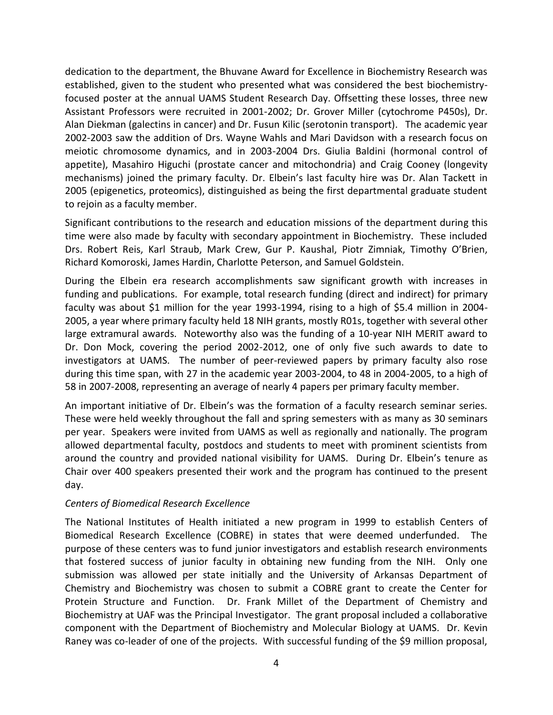dedication to the department, the Bhuvane Award for Excellence in Biochemistry Research was established, given to the student who presented what was considered the best biochemistryfocused poster at the annual UAMS Student Research Day. Offsetting these losses, three new Assistant Professors were recruited in 2001-2002; Dr. Grover Miller (cytochrome P450s), Dr. Alan Diekman (galectins in cancer) and Dr. Fusun Kilic (serotonin transport). The academic year 2002-2003 saw the addition of Drs. Wayne Wahls and Mari Davidson with a research focus on meiotic chromosome dynamics, and in 2003-2004 Drs. Giulia Baldini (hormonal control of appetite), Masahiro Higuchi (prostate cancer and mitochondria) and Craig Cooney (longevity mechanisms) joined the primary faculty. Dr. Elbein's last faculty hire was Dr. Alan Tackett in 2005 (epigenetics, proteomics), distinguished as being the first departmental graduate student to rejoin as a faculty member.

Significant contributions to the research and education missions of the department during this time were also made by faculty with secondary appointment in Biochemistry. These included Drs. Robert Reis, Karl Straub, Mark Crew, Gur P. Kaushal, Piotr Zimniak, Timothy O'Brien, Richard Komoroski, James Hardin, Charlotte Peterson, and Samuel Goldstein.

During the Elbein era research accomplishments saw significant growth with increases in funding and publications. For example, total research funding (direct and indirect) for primary faculty was about \$1 million for the year 1993-1994, rising to a high of \$5.4 million in 2004- 2005, a year where primary faculty held 18 NIH grants, mostly R01s, together with several other large extramural awards. Noteworthy also was the funding of a 10-year NIH MERIT award to Dr. Don Mock, covering the period 2002-2012, one of only five such awards to date to investigators at UAMS. The number of peer-reviewed papers by primary faculty also rose during this time span, with 27 in the academic year 2003-2004, to 48 in 2004-2005, to a high of 58 in 2007-2008, representing an average of nearly 4 papers per primary faculty member.

An important initiative of Dr. Elbein's was the formation of a faculty research seminar series. These were held weekly throughout the fall and spring semesters with as many as 30 seminars per year. Speakers were invited from UAMS as well as regionally and nationally. The program allowed departmental faculty, postdocs and students to meet with prominent scientists from around the country and provided national visibility for UAMS. During Dr. Elbein's tenure as Chair over 400 speakers presented their work and the program has continued to the present day.

### *Centers of Biomedical Research Excellence*

The National Institutes of Health initiated a new program in 1999 to establish Centers of Biomedical Research Excellence (COBRE) in states that were deemed underfunded. The purpose of these centers was to fund junior investigators and establish research environments that fostered success of junior faculty in obtaining new funding from the NIH. Only one submission was allowed per state initially and the University of Arkansas Department of Chemistry and Biochemistry was chosen to submit a COBRE grant to create the Center for Protein Structure and Function. Dr. Frank Millet of the Department of Chemistry and Biochemistry at UAF was the Principal Investigator. The grant proposal included a collaborative component with the Department of Biochemistry and Molecular Biology at UAMS. Dr. Kevin Raney was co-leader of one of the projects. With successful funding of the \$9 million proposal,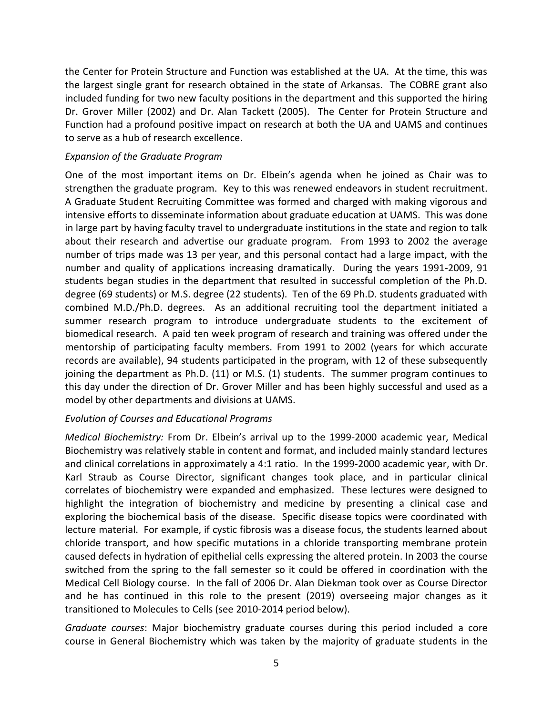the Center for Protein Structure and Function was established at the UA. At the time, this was the largest single grant for research obtained in the state of Arkansas. The COBRE grant also included funding for two new faculty positions in the department and this supported the hiring Dr. Grover Miller (2002) and Dr. Alan Tackett (2005). The Center for Protein Structure and Function had a profound positive impact on research at both the UA and UAMS and continues to serve as a hub of research excellence.

## *Expansion of the Graduate Program*

One of the most important items on Dr. Elbein's agenda when he joined as Chair was to strengthen the graduate program. Key to this was renewed endeavors in student recruitment. A Graduate Student Recruiting Committee was formed and charged with making vigorous and intensive efforts to disseminate information about graduate education at UAMS. This was done in large part by having faculty travel to undergraduate institutions in the state and region to talk about their research and advertise our graduate program. From 1993 to 2002 the average number of trips made was 13 per year, and this personal contact had a large impact, with the number and quality of applications increasing dramatically. During the years 1991-2009, 91 students began studies in the department that resulted in successful completion of the Ph.D. degree (69 students) or M.S. degree (22 students). Ten of the 69 Ph.D. students graduated with combined M.D./Ph.D. degrees. As an additional recruiting tool the department initiated a summer research program to introduce undergraduate students to the excitement of biomedical research. A paid ten week program of research and training was offered under the mentorship of participating faculty members. From 1991 to 2002 (years for which accurate records are available), 94 students participated in the program, with 12 of these subsequently joining the department as Ph.D. (11) or M.S. (1) students. The summer program continues to this day under the direction of Dr. Grover Miller and has been highly successful and used as a model by other departments and divisions at UAMS.

### *Evolution of Courses and Educational Programs*

*Medical Biochemistry:* From Dr. Elbein's arrival up to the 1999-2000 academic year, Medical Biochemistry was relatively stable in content and format, and included mainly standard lectures and clinical correlations in approximately a 4:1 ratio. In the 1999-2000 academic year, with Dr. Karl Straub as Course Director, significant changes took place, and in particular clinical correlates of biochemistry were expanded and emphasized. These lectures were designed to highlight the integration of biochemistry and medicine by presenting a clinical case and exploring the biochemical basis of the disease. Specific disease topics were coordinated with lecture material. For example, if cystic fibrosis was a disease focus, the students learned about chloride transport, and how specific mutations in a chloride transporting membrane protein caused defects in hydration of epithelial cells expressing the altered protein. In 2003 the course switched from the spring to the fall semester so it could be offered in coordination with the Medical Cell Biology course. In the fall of 2006 Dr. Alan Diekman took over as Course Director and he has continued in this role to the present (2019) overseeing major changes as it transitioned to Molecules to Cells (see 2010-2014 period below).

*Graduate courses*: Major biochemistry graduate courses during this period included a core course in General Biochemistry which was taken by the majority of graduate students in the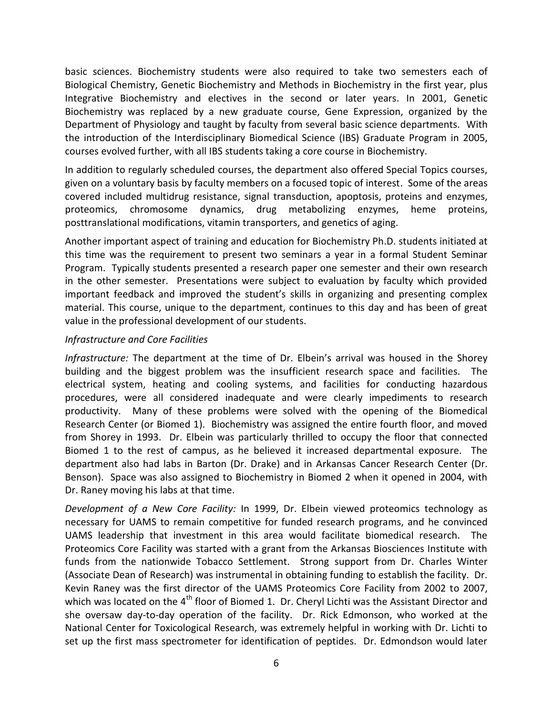basic sciences. Biochemistry students were also required to take two semesters each of Biological Chemistry, Genetic Biochemistry and Methods in Biochemistry in the first year, plus Integrative Biochemistry and electives in the second or later years. In 2001, Genetic Biochemistry was replaced by a new graduate course, Gene Expression, organized by the Department of Physiology and taught by faculty from several basic science departments. With the introduction of the Interdisciplinary Biomedical Science (IBS) Graduate Program in 2005, courses evolved further, with all IBS students taking a core course in Biochemistry.

In addition to regularly scheduled courses, the department also offered Special Topics courses, given on a voluntary basis by faculty members on a focused topic of interest. Some of the areas covered included multidrug resistance, signal transduction, apoptosis, proteins and enzymes, proteomics, chromosome dynamics, drug metabolizing enzymes, heme proteins, posttranslational modifications, vitamin transporters, and genetics of aging.

Another important aspect of training and education for Biochemistry Ph.D. students initiated at this time was the requirement to present two seminars a year in a formal Student Seminar Program. Typically students presented a research paper one semester and their own research in the other semester. Presentations were subject to evaluation by faculty which provided important feedback and improved the student's skills in organizing and presenting complex material. This course, unique to the department, continues to this day and has been of great value in the professional development of our students.

### *Infrastructure and Core Facilities*

*Infrastructure:* The department at the time of Dr. Elbein's arrival was housed in the Shorey building and the biggest problem was the insufficient research space and facilities. The electrical system, heating and cooling systems, and facilities for conducting hazardous procedures, were all considered inadequate and were clearly impediments to research productivity. Many of these problems were solved with the opening of the Biomedical Research Center (or Biomed 1). Biochemistry was assigned the entire fourth floor, and moved from Shorey in 1993. Dr. Elbein was particularly thrilled to occupy the floor that connected Biomed 1 to the rest of campus, as he believed it increased departmental exposure. The department also had labs in Barton (Dr. Drake) and in Arkansas Cancer Research Center (Dr. Benson). Space was also assigned to Biochemistry in Biomed 2 when it opened in 2004, with Dr. Raney moving his labs at that time.

*Development of a New Core Facility:* In 1999, Dr. Elbein viewed proteomics technology as necessary for UAMS to remain competitive for funded research programs, and he convinced UAMS leadership that investment in this area would facilitate biomedical research. The Proteomics Core Facility was started with a grant from the Arkansas Biosciences Institute with funds from the nationwide Tobacco Settlement. Strong support from Dr. Charles Winter (Associate Dean of Research) was instrumental in obtaining funding to establish the facility. Dr. Kevin Raney was the first director of the UAMS Proteomics Core Facility from 2002 to 2007, which was located on the 4<sup>th</sup> floor of Biomed 1. Dr. Cheryl Lichti was the Assistant Director and she oversaw day-to-day operation of the facility. Dr. Rick Edmonson, who worked at the National Center for Toxicological Research, was extremely helpful in working with Dr. Lichti to set up the first mass spectrometer for identification of peptides. Dr. Edmondson would later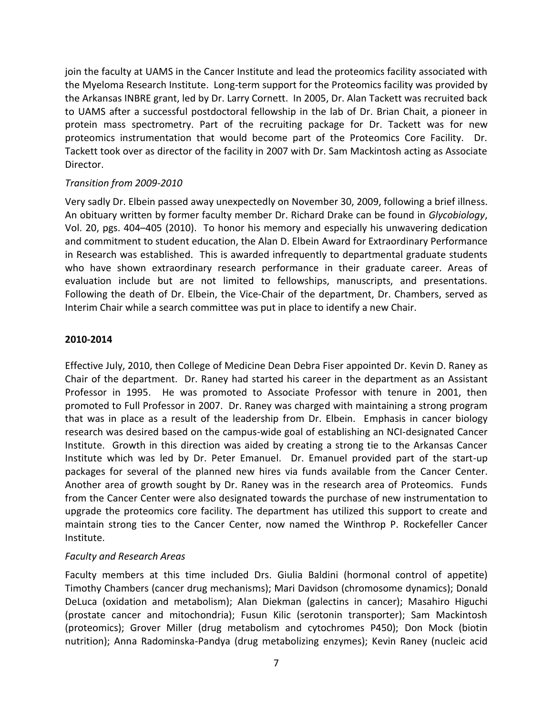join the faculty at UAMS in the Cancer Institute and lead the proteomics facility associated with the Myeloma Research Institute. Long-term support for the Proteomics facility was provided by the Arkansas INBRE grant, led by Dr. Larry Cornett. In 2005, Dr. Alan Tackett was recruited back to UAMS after a successful postdoctoral fellowship in the lab of Dr. Brian Chait, a pioneer in protein mass spectrometry. Part of the recruiting package for Dr. Tackett was for new proteomics instrumentation that would become part of the Proteomics Core Facility. Dr. Tackett took over as director of the facility in 2007 with Dr. Sam Mackintosh acting as Associate Director.

### *Transition from 2009-2010*

Very sadly Dr. Elbein passed away unexpectedly on November 30, 2009, following a brief illness. An obituary written by former faculty member Dr. Richard Drake can be found in *Glycobiology*, Vol. 20, pgs. 404–405 (2010). To honor his memory and especially his unwavering dedication and commitment to student education, the Alan D. Elbein Award for Extraordinary Performance in Research was established. This is awarded infrequently to departmental graduate students who have shown extraordinary research performance in their graduate career. Areas of evaluation include but are not limited to fellowships, manuscripts, and presentations. Following the death of Dr. Elbein, the Vice-Chair of the department, Dr. Chambers, served as Interim Chair while a search committee was put in place to identify a new Chair.

### **2010-2014**

Effective July, 2010, then College of Medicine Dean Debra Fiser appointed Dr. Kevin D. Raney as Chair of the department. Dr. Raney had started his career in the department as an Assistant Professor in 1995. He was promoted to Associate Professor with tenure in 2001, then promoted to Full Professor in 2007. Dr. Raney was charged with maintaining a strong program that was in place as a result of the leadership from Dr. Elbein. Emphasis in cancer biology research was desired based on the campus-wide goal of establishing an NCI-designated Cancer Institute. Growth in this direction was aided by creating a strong tie to the Arkansas Cancer Institute which was led by Dr. Peter Emanuel. Dr. Emanuel provided part of the start-up packages for several of the planned new hires via funds available from the Cancer Center. Another area of growth sought by Dr. Raney was in the research area of Proteomics. Funds from the Cancer Center were also designated towards the purchase of new instrumentation to upgrade the proteomics core facility. The department has utilized this support to create and maintain strong ties to the Cancer Center, now named the Winthrop P. Rockefeller Cancer Institute.

### *Faculty and Research Areas*

Faculty members at this time included Drs. Giulia Baldini (hormonal control of appetite) Timothy Chambers (cancer drug mechanisms); Mari Davidson (chromosome dynamics); Donald DeLuca (oxidation and metabolism); Alan Diekman (galectins in cancer); Masahiro Higuchi (prostate cancer and mitochondria); Fusun Kilic (serotonin transporter); Sam Mackintosh (proteomics); Grover Miller (drug metabolism and cytochromes P450); Don Mock (biotin nutrition); Anna Radominska-Pandya (drug metabolizing enzymes); Kevin Raney (nucleic acid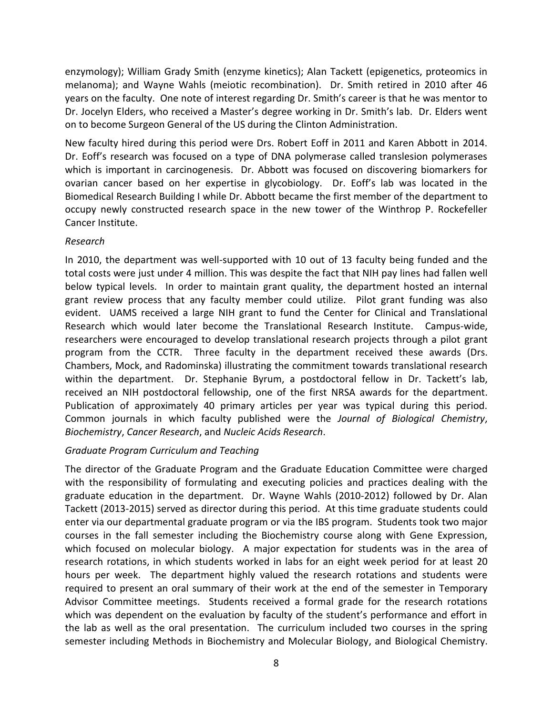enzymology); William Grady Smith (enzyme kinetics); Alan Tackett (epigenetics, proteomics in melanoma); and Wayne Wahls (meiotic recombination). Dr. Smith retired in 2010 after 46 years on the faculty. One note of interest regarding Dr. Smith's career is that he was mentor to Dr. Jocelyn Elders, who received a Master's degree working in Dr. Smith's lab. Dr. Elders went on to become Surgeon General of the US during the Clinton Administration.

New faculty hired during this period were Drs. Robert Eoff in 2011 and Karen Abbott in 2014. Dr. Eoff's research was focused on a type of DNA polymerase called translesion polymerases which is important in carcinogenesis. Dr. Abbott was focused on discovering biomarkers for ovarian cancer based on her expertise in glycobiology. Dr. Eoff's lab was located in the Biomedical Research Building I while Dr. Abbott became the first member of the department to occupy newly constructed research space in the new tower of the Winthrop P. Rockefeller Cancer Institute.

### *Research*

In 2010, the department was well-supported with 10 out of 13 faculty being funded and the total costs were just under 4 million. This was despite the fact that NIH pay lines had fallen well below typical levels. In order to maintain grant quality, the department hosted an internal grant review process that any faculty member could utilize. Pilot grant funding was also evident. UAMS received a large NIH grant to fund the Center for Clinical and Translational Research which would later become the Translational Research Institute. Campus-wide, researchers were encouraged to develop translational research projects through a pilot grant program from the CCTR. Three faculty in the department received these awards (Drs. Chambers, Mock, and Radominska) illustrating the commitment towards translational research within the department. Dr. Stephanie Byrum, a postdoctoral fellow in Dr. Tackett's lab, received an NIH postdoctoral fellowship, one of the first NRSA awards for the department. Publication of approximately 40 primary articles per year was typical during this period. Common journals in which faculty published were the *Journal of Biological Chemistry*, *Biochemistry*, *Cancer Research*, and *Nucleic Acids Research*.

# *Graduate Program Curriculum and Teaching*

The director of the Graduate Program and the Graduate Education Committee were charged with the responsibility of formulating and executing policies and practices dealing with the graduate education in the department. Dr. Wayne Wahls (2010-2012) followed by Dr. Alan Tackett (2013-2015) served as director during this period. At this time graduate students could enter via our departmental graduate program or via the IBS program. Students took two major courses in the fall semester including the Biochemistry course along with Gene Expression, which focused on molecular biology. A major expectation for students was in the area of research rotations, in which students worked in labs for an eight week period for at least 20 hours per week. The department highly valued the research rotations and students were required to present an oral summary of their work at the end of the semester in Temporary Advisor Committee meetings. Students received a formal grade for the research rotations which was dependent on the evaluation by faculty of the student's performance and effort in the lab as well as the oral presentation. The curriculum included two courses in the spring semester including Methods in Biochemistry and Molecular Biology, and Biological Chemistry.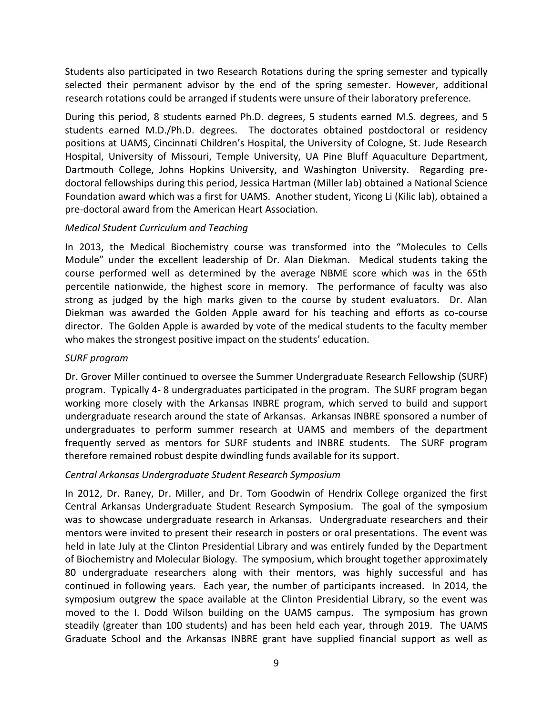Students also participated in two Research Rotations during the spring semester and typically selected their permanent advisor by the end of the spring semester. However, additional research rotations could be arranged if students were unsure of their laboratory preference.

During this period, 8 students earned Ph.D. degrees, 5 students earned M.S. degrees, and 5 students earned M.D./Ph.D. degrees. The doctorates obtained postdoctoral or residency positions at UAMS, Cincinnati Children's Hospital, the University of Cologne, St. Jude Research Hospital, University of Missouri, Temple University, UA Pine Bluff Aquaculture Department, Dartmouth College, Johns Hopkins University, and Washington University. Regarding predoctoral fellowships during this period, Jessica Hartman (Miller lab) obtained a National Science Foundation award which was a first for UAMS. Another student, Yicong Li (Kilic lab), obtained a pre-doctoral award from the American Heart Association.

## *Medical Student Curriculum and Teaching*

In 2013, the Medical Biochemistry course was transformed into the "Molecules to Cells Module" under the excellent leadership of Dr. Alan Diekman. Medical students taking the course performed well as determined by the average NBME score which was in the 65th percentile nationwide, the highest score in memory. The performance of faculty was also strong as judged by the high marks given to the course by student evaluators. Dr. Alan Diekman was awarded the Golden Apple award for his teaching and efforts as co-course director. The Golden Apple is awarded by vote of the medical students to the faculty member who makes the strongest positive impact on the students' education.

### *SURF program*

Dr. Grover Miller continued to oversee the Summer Undergraduate Research Fellowship (SURF) program. Typically 4- 8 undergraduates participated in the program. The SURF program began working more closely with the Arkansas INBRE program, which served to build and support undergraduate research around the state of Arkansas. Arkansas INBRE sponsored a number of undergraduates to perform summer research at UAMS and members of the department frequently served as mentors for SURF students and INBRE students. The SURF program therefore remained robust despite dwindling funds available for its support.

# *Central Arkansas Undergraduate Student Research Symposium*

In 2012, Dr. Raney, Dr. Miller, and Dr. Tom Goodwin of Hendrix College organized the first Central Arkansas Undergraduate Student Research Symposium. The goal of the symposium was to showcase undergraduate research in Arkansas. Undergraduate researchers and their mentors were invited to present their research in posters or oral presentations. The event was held in late July at the Clinton Presidential Library and was entirely funded by the Department of Biochemistry and Molecular Biology. The symposium, which brought together approximately 80 undergraduate researchers along with their mentors, was highly successful and has continued in following years. Each year, the number of participants increased. In 2014, the symposium outgrew the space available at the Clinton Presidential Library, so the event was moved to the I. Dodd Wilson building on the UAMS campus. The symposium has grown steadily (greater than 100 students) and has been held each year, through 2019. The UAMS Graduate School and the Arkansas INBRE grant have supplied financial support as well as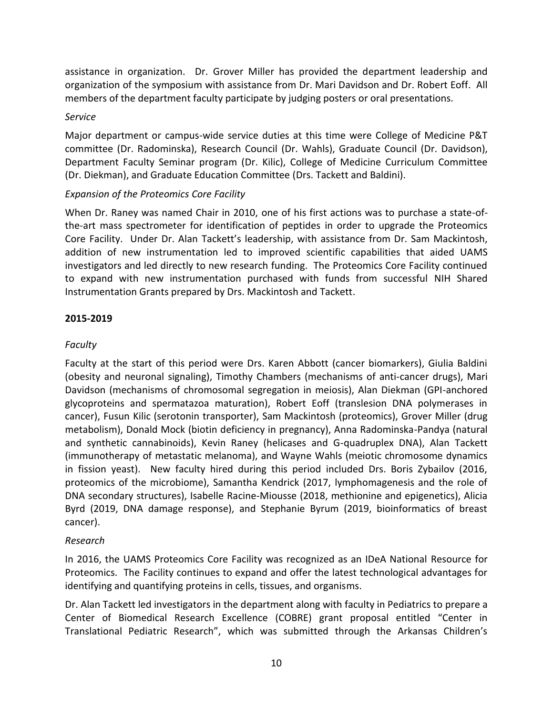assistance in organization. Dr. Grover Miller has provided the department leadership and organization of the symposium with assistance from Dr. Mari Davidson and Dr. Robert Eoff. All members of the department faculty participate by judging posters or oral presentations.

## *Service*

Major department or campus-wide service duties at this time were College of Medicine P&T committee (Dr. Radominska), Research Council (Dr. Wahls), Graduate Council (Dr. Davidson), Department Faculty Seminar program (Dr. Kilic), College of Medicine Curriculum Committee (Dr. Diekman), and Graduate Education Committee (Drs. Tackett and Baldini).

# *Expansion of the Proteomics Core Facility*

When Dr. Raney was named Chair in 2010, one of his first actions was to purchase a state-ofthe-art mass spectrometer for identification of peptides in order to upgrade the Proteomics Core Facility. Under Dr. Alan Tackett's leadership, with assistance from Dr. Sam Mackintosh, addition of new instrumentation led to improved scientific capabilities that aided UAMS investigators and led directly to new research funding. The Proteomics Core Facility continued to expand with new instrumentation purchased with funds from successful NIH Shared Instrumentation Grants prepared by Drs. Mackintosh and Tackett.

## **2015-2019**

# *Faculty*

Faculty at the start of this period were Drs. Karen Abbott (cancer biomarkers), Giulia Baldini (obesity and neuronal signaling), Timothy Chambers (mechanisms of anti-cancer drugs), Mari Davidson (mechanisms of chromosomal segregation in meiosis), Alan Diekman (GPI-anchored glycoproteins and spermatazoa maturation), Robert Eoff (translesion DNA polymerases in cancer), Fusun Kilic (serotonin transporter), Sam Mackintosh (proteomics), Grover Miller (drug metabolism), Donald Mock (biotin deficiency in pregnancy), Anna Radominska-Pandya (natural and synthetic cannabinoids), Kevin Raney (helicases and G-quadruplex DNA), Alan Tackett (immunotherapy of metastatic melanoma), and Wayne Wahls (meiotic chromosome dynamics in fission yeast). New faculty hired during this period included Drs. Boris Zybailov (2016, proteomics of the microbiome), Samantha Kendrick (2017, lymphomagenesis and the role of DNA secondary structures), Isabelle Racine-Miousse (2018, methionine and epigenetics), Alicia Byrd (2019, DNA damage response), and Stephanie Byrum (2019, bioinformatics of breast cancer).

# *Research*

In 2016, the UAMS Proteomics Core Facility was recognized as an IDeA National Resource for Proteomics. The Facility continues to expand and offer the latest technological advantages for identifying and quantifying proteins in cells, tissues, and organisms.

Dr. Alan Tackett led investigators in the department along with faculty in Pediatrics to prepare a Center of Biomedical Research Excellence (COBRE) grant proposal entitled "Center in Translational Pediatric Research", which was submitted through the Arkansas Children's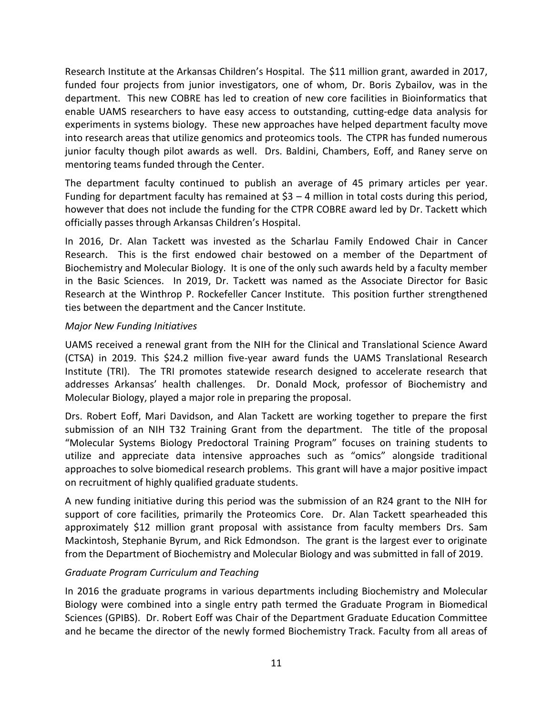Research Institute at the Arkansas Children's Hospital. The \$11 million grant, awarded in 2017, funded four projects from junior investigators, one of whom, Dr. Boris Zybailov, was in the department. This new COBRE has led to creation of new core facilities in Bioinformatics that enable UAMS researchers to have easy access to outstanding, cutting-edge data analysis for experiments in systems biology. These new approaches have helped department faculty move into research areas that utilize genomics and proteomics tools. The CTPR has funded numerous junior faculty though pilot awards as well. Drs. Baldini, Chambers, Eoff, and Raney serve on mentoring teams funded through the Center.

The department faculty continued to publish an average of 45 primary articles per year. Funding for department faculty has remained at \$3 – 4 million in total costs during this period, however that does not include the funding for the CTPR COBRE award led by Dr. Tackett which officially passes through Arkansas Children's Hospital.

In 2016, Dr. Alan Tackett was invested as the Scharlau Family Endowed Chair in Cancer Research. This is the first endowed chair bestowed on a member of the Department of Biochemistry and Molecular Biology. It is one of the only such awards held by a faculty member in the Basic Sciences. In 2019, Dr. Tackett was named as the Associate Director for Basic Research at the Winthrop P. Rockefeller Cancer Institute. This position further strengthened ties between the department and the Cancer Institute.

## *Major New Funding Initiatives*

UAMS received a renewal grant from the NIH for the Clinical and Translational Science Award (CTSA) in 2019. This \$24.2 million five-year award funds the UAMS Translational Research Institute (TRI). The TRI promotes statewide research designed to accelerate research that addresses Arkansas' health challenges. Dr. Donald Mock, professor of Biochemistry and Molecular Biology, played a major role in preparing the proposal.

Drs. Robert Eoff, Mari Davidson, and Alan Tackett are working together to prepare the first submission of an NIH T32 Training Grant from the department. The title of the proposal "Molecular Systems Biology Predoctoral Training Program" focuses on training students to utilize and appreciate data intensive approaches such as "omics" alongside traditional approaches to solve biomedical research problems. This grant will have a major positive impact on recruitment of highly qualified graduate students.

A new funding initiative during this period was the submission of an R24 grant to the NIH for support of core facilities, primarily the Proteomics Core. Dr. Alan Tackett spearheaded this approximately \$12 million grant proposal with assistance from faculty members Drs. Sam Mackintosh, Stephanie Byrum, and Rick Edmondson. The grant is the largest ever to originate from the Department of Biochemistry and Molecular Biology and was submitted in fall of 2019.

# *Graduate Program Curriculum and Teaching*

In 2016 the graduate programs in various departments including Biochemistry and Molecular Biology were combined into a single entry path termed the Graduate Program in Biomedical Sciences (GPIBS). Dr. Robert Eoff was Chair of the Department Graduate Education Committee and he became the director of the newly formed Biochemistry Track. Faculty from all areas of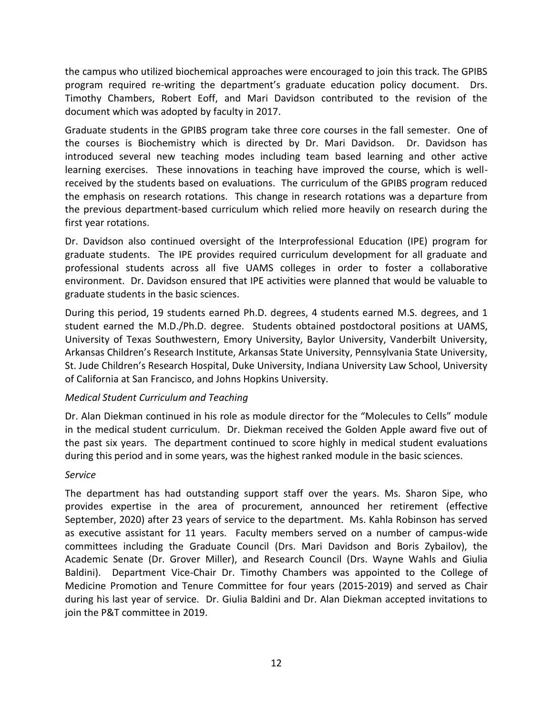the campus who utilized biochemical approaches were encouraged to join this track. The GPIBS program required re-writing the department's graduate education policy document. Drs. Timothy Chambers, Robert Eoff, and Mari Davidson contributed to the revision of the document which was adopted by faculty in 2017.

Graduate students in the GPIBS program take three core courses in the fall semester. One of the courses is Biochemistry which is directed by Dr. Mari Davidson. Dr. Davidson has introduced several new teaching modes including team based learning and other active learning exercises. These innovations in teaching have improved the course, which is wellreceived by the students based on evaluations. The curriculum of the GPIBS program reduced the emphasis on research rotations. This change in research rotations was a departure from the previous department-based curriculum which relied more heavily on research during the first year rotations.

Dr. Davidson also continued oversight of the Interprofessional Education (IPE) program for graduate students. The IPE provides required curriculum development for all graduate and professional students across all five UAMS colleges in order to foster a collaborative environment. Dr. Davidson ensured that IPE activities were planned that would be valuable to graduate students in the basic sciences.

During this period, 19 students earned Ph.D. degrees, 4 students earned M.S. degrees, and 1 student earned the M.D./Ph.D. degree. Students obtained postdoctoral positions at UAMS, University of Texas Southwestern, Emory University, Baylor University, Vanderbilt University, Arkansas Children's Research Institute, Arkansas State University, Pennsylvania State University, St. Jude Children's Research Hospital, Duke University, Indiana University Law School, University of California at San Francisco, and Johns Hopkins University.

# *Medical Student Curriculum and Teaching*

Dr. Alan Diekman continued in his role as module director for the "Molecules to Cells" module in the medical student curriculum. Dr. Diekman received the Golden Apple award five out of the past six years. The department continued to score highly in medical student evaluations during this period and in some years, was the highest ranked module in the basic sciences.

### *Service*

The department has had outstanding support staff over the years. Ms. Sharon Sipe, who provides expertise in the area of procurement, announced her retirement (effective September, 2020) after 23 years of service to the department. Ms. Kahla Robinson has served as executive assistant for 11 years. Faculty members served on a number of campus-wide committees including the Graduate Council (Drs. Mari Davidson and Boris Zybailov), the Academic Senate (Dr. Grover Miller), and Research Council (Drs. Wayne Wahls and Giulia Baldini). Department Vice-Chair Dr. Timothy Chambers was appointed to the College of Medicine Promotion and Tenure Committee for four years (2015-2019) and served as Chair during his last year of service. Dr. Giulia Baldini and Dr. Alan Diekman accepted invitations to join the P&T committee in 2019.